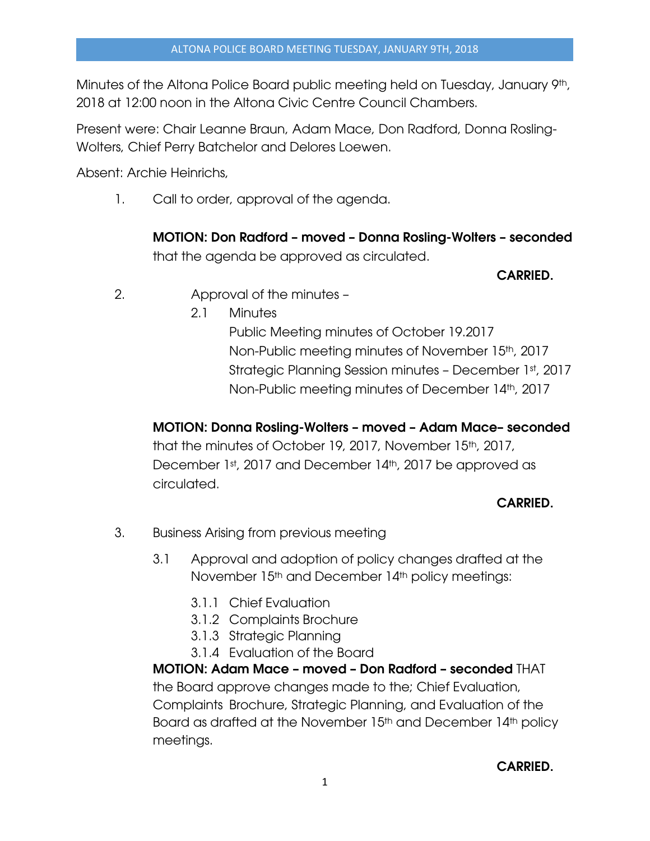Minutes of the Altona Police Board public meeting held on Tuesday, January 9th, 2018 at 12:00 noon in the Altona Civic Centre Council Chambers.

Present were: Chair Leanne Braun, Adam Mace, Don Radford, Donna Rosling-Wolters, Chief Perry Batchelor and Delores Loewen.

Absent: Archie Heinrichs,

1. Call to order, approval of the agenda.

MOTION: Don Radford – moved – Donna Rosling-Wolters – seconded that the agenda be approved as circulated.

#### CARRIED.

- 2. Approval of the minutes
	- 2.1 Minutes

Public Meeting minutes of October 19.2017 Non-Public meeting minutes of November 15th, 2017 Strategic Planning Session minutes – December 1st, 2017 Non-Public meeting minutes of December 14th, 2017

# MOTION: Donna Rosling-Wolters – moved – Adam Mace– seconded

that the minutes of October 19, 2017, November 15th, 2017, December 1st, 2017 and December 14th, 2017 be approved as circulated.

# CARRIED.

- 3. Business Arising from previous meeting
	- 3.1 Approval and adoption of policy changes drafted at the November 15<sup>th</sup> and December 14<sup>th</sup> policy meetings:
		- 3.1.1 Chief Evaluation
		- 3.1.2 Complaints Brochure
		- 3.1.3 Strategic Planning
		- 3.1.4 Evaluation of the Board

MOTION: Adam Mace – moved – Don Radford – seconded THAT the Board approve changes made to the; Chief Evaluation, Complaints Brochure, Strategic Planning, and Evaluation of the Board as drafted at the November 15<sup>th</sup> and December 14<sup>th</sup> policy meetings.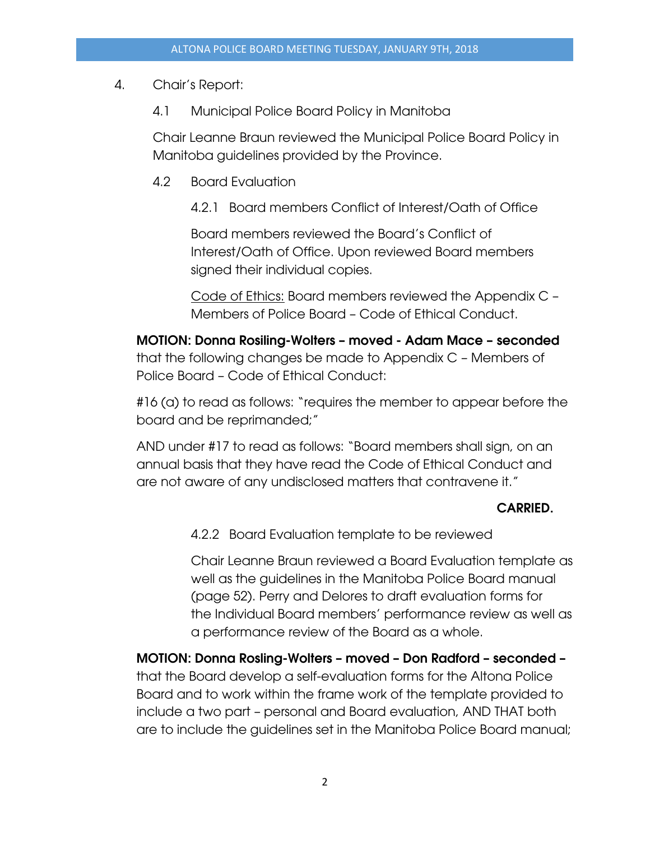# 4. Chair's Report:

4.1 Municipal Police Board Policy in Manitoba

Chair Leanne Braun reviewed the Municipal Police Board Policy in Manitoba guidelines provided by the Province.

- 4.2 Board Evaluation
	- 4.2.1 Board members Conflict of Interest/Oath of Office

Board members reviewed the Board's Conflict of Interest/Oath of Office. Upon reviewed Board members signed their individual copies.

Code of Ethics: Board members reviewed the Appendix C – Members of Police Board – Code of Ethical Conduct.

MOTION: Donna Rosiling-Wolters – moved - Adam Mace – seconded that the following changes be made to Appendix C – Members of Police Board – Code of Ethical Conduct:

#16 (a) to read as follows: "requires the member to appear before the board and be reprimanded;"

AND under #17 to read as follows: "Board members shall sign, on an annual basis that they have read the Code of Ethical Conduct and are not aware of any undisclosed matters that contravene it."

# CARRIED.

4.2.2 Board Evaluation template to be reviewed

Chair Leanne Braun reviewed a Board Evaluation template as well as the guidelines in the Manitoba Police Board manual (page 52). Perry and Delores to draft evaluation forms for the Individual Board members' performance review as well as a performance review of the Board as a whole.

MOTION: Donna Rosling-Wolters – moved – Don Radford – seconded – that the Board develop a self-evaluation forms for the Altona Police Board and to work within the frame work of the template provided to include a two part – personal and Board evaluation, AND THAT both are to include the guidelines set in the Manitoba Police Board manual;